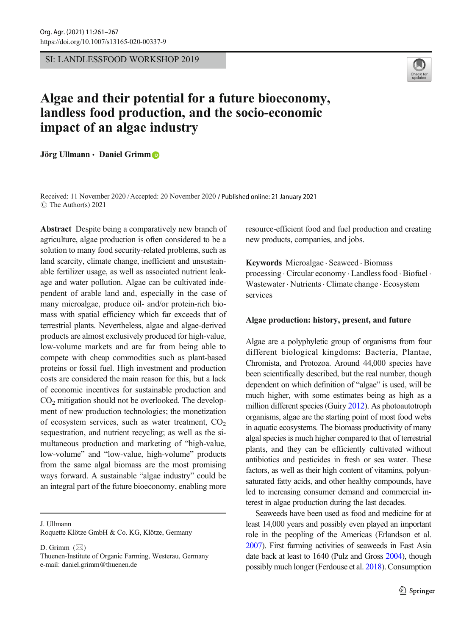SI: LANDLESSFOOD WORKSHOP 2019



# Algae and their potential for a future bioeconomy, landless food production, and the socio-economic impact of an algae industry

Jörg Ullmann · Daniel Grimm

Received: 11 November 2020 /Accepted: 20 November 2020 / Published online: 21 January 2021  $\circ$  The Author(s) 2021

Abstract Despite being a comparatively new branch of agriculture, algae production is often considered to be a solution to many food security-related problems, such as land scarcity, climate change, inefficient and unsustainable fertilizer usage, as well as associated nutrient leakage and water pollution. Algae can be cultivated independent of arable land and, especially in the case of many microalgae, produce oil- and/or protein-rich biomass with spatial efficiency which far exceeds that of terrestrial plants. Nevertheless, algae and algae-derived products are almost exclusively produced for high-value, low-volume markets and are far from being able to compete with cheap commodities such as plant-based proteins or fossil fuel. High investment and production costs are considered the main reason for this, but a lack of economic incentives for sustainable production and CO2 mitigation should not be overlooked. The development of new production technologies; the monetization of ecosystem services, such as water treatment,  $CO<sub>2</sub>$ sequestration, and nutrient recycling; as well as the simultaneous production and marketing of "high-value, low-volume" and "low-value, high-volume" products from the same algal biomass are the most promising ways forward. A sustainable "algae industry" could be an integral part of the future bioeconomy, enabling more

J. Ullmann

Roquette Klötze GmbH & Co. KG, Klötze, Germany

D. Grimm  $(\boxtimes)$ 

resource-efficient food and fuel production and creating new products, companies, and jobs.

Keywords Microalgae . Seaweed . Biomass processing . Circular economy . Landless food . Biofuel . Wastewater . Nutrients. Climate change . Ecosystem services

## Algae production: history, present, and future

Algae are a polyphyletic group of organisms from four different biological kingdoms: Bacteria, Plantae, Chromista, and Protozoa. Around 44,000 species have been scientifically described, but the real number, though dependent on which definition of "algae" is used, will be much higher, with some estimates being as high as a million different species (Guiry [2012\)](#page-6-0). As photoautotroph organisms, algae are the starting point of most food webs in aquatic ecosystems. The biomass productivity of many algal species is much higher compared to that of terrestrial plants, and they can be efficiently cultivated without antibiotics and pesticides in fresh or sea water. These factors, as well as their high content of vitamins, polyunsaturated fatty acids, and other healthy compounds, have led to increasing consumer demand and commercial interest in algae production during the last decades.

Seaweeds have been used as food and medicine for at least 14,000 years and possibly even played an important role in the peopling of the Americas (Erlandson et al. [2007\)](#page-6-0). First farming activities of seaweeds in East Asia date back at least to 1640 (Pulz and Gross [2004](#page-6-0)), though possibly much longer (Ferdouse et al. [2018\)](#page-6-0). Consumption

Thuenen-Institute of Organic Farming, Westerau, Germany e-mail: daniel.grimm@thuenen.de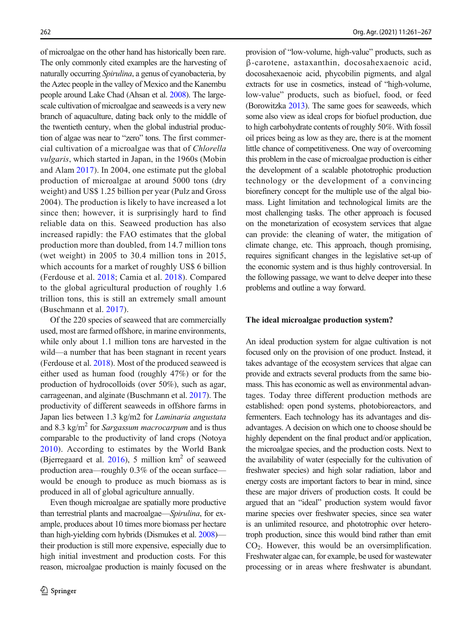of microalgae on the other hand has historically been rare. The only commonly cited examples are the harvesting of naturally occurring Spirulina, a genus of cyanobacteria, by the Aztec people in the valley of Mexico and the Kanembu people around Lake Chad (Ahsan et al. [2008\)](#page-6-0). The largescale cultivation of microalgae and seaweeds is a very new branch of aquaculture, dating back only to the middle of the twentieth century, when the global industrial production of algae was near to "zero" tons. The first commercial cultivation of a microalgae was that of Chlorella vulgaris, which started in Japan, in the 1960s (Mobin and Alam [2017](#page-6-0)). In 2004, one estimate put the global production of microalgae at around 5000 tons (dry weight) and US\$ 1.25 billion per year (Pulz and Gross 2004). The production is likely to have increased a lot since then; however, it is surprisingly hard to find reliable data on this. Seaweed production has also increased rapidly: the FAO estimates that the global production more than doubled, from 14.7 million tons (wet weight) in 2005 to 30.4 million tons in 2015, which accounts for a market of roughly US\$ 6 billion (Ferdouse et al. [2018](#page-6-0); Camia et al. [2018](#page-6-0)). Compared to the global agricultural production of roughly 1.6 trillion tons, this is still an extremely small amount (Buschmann et al. [2017](#page-6-0)).

Of the 220 species of seaweed that are commercially used, most are farmed offshore, in marine environments, while only about 1.1 million tons are harvested in the wild—a number that has been stagnant in recent years (Ferdouse et al. [2018\)](#page-6-0). Most of the produced seaweed is either used as human food (roughly 47%) or for the production of hydrocolloids (over 50%), such as agar, carrageenan, and alginate (Buschmann et al. [2017](#page-6-0)). The productivity of different seaweeds in offshore farms in Japan lies between 1.3 kg/m2 for Laminaria angustata and 8.3 kg/m<sup>2</sup> for Sargassum macrocarpum and is thus comparable to the productivity of land crops (Notoya [2010](#page-6-0)). According to estimates by the World Bank (Bjerregaard et al.  $2016$ ), 5 million  $km<sup>2</sup>$  of seaweed production area—roughly 0.3% of the ocean surface would be enough to produce as much biomass as is produced in all of global agriculture annually.

Even though microalgae are spatially more productive than terrestrial plants and macroalgae—Spirulina, for example, produces about 10 times more biomass per hectare than high-yielding corn hybrids (Dismukes et al. [2008](#page-6-0)) their production is still more expensive, especially due to high initial investment and production costs. For this reason, microalgae production is mainly focused on the provision of "low-volume, high-value" products, such as β-carotene, astaxanthin, docosahexaenoic acid, docosahexaenoic acid, phycobilin pigments, and algal extracts for use in cosmetics, instead of "high-volume, low-value" products, such as biofuel, food, or feed (Borowitzka [2013\)](#page-6-0). The same goes for seaweeds, which some also view as ideal crops for biofuel production, due to high carbohydrate contents of roughly 50%. With fossil oil prices being as low as they are, there is at the moment little chance of competitiveness. One way of overcoming this problem in the case of microalgae production is either the development of a scalable phototrophic production technology or the development of a convincing biorefinery concept for the multiple use of the algal biomass. Light limitation and technological limits are the most challenging tasks. The other approach is focused on the monetarization of ecosystem services that algae can provide: the cleaning of water, the mitigation of climate change, etc. This approach, though promising, requires significant changes in the legislative set-up of the economic system and is thus highly controversial. In the following passage, we want to delve deeper into these problems and outline a way forward.

# The ideal microalgae production system?

An ideal production system for algae cultivation is not focused only on the provision of one product. Instead, it takes advantage of the ecosystem services that algae can provide and extracts several products from the same biomass. This has economic as well as environmental advantages. Today three different production methods are established: open pond systems, photobioreactors, and fermenters. Each technology has its advantages and disadvantages. A decision on which one to choose should be highly dependent on the final product and/or application, the microalgae species, and the production costs. Next to the availability of water (especially for the cultivation of freshwater species) and high solar radiation, labor and energy costs are important factors to bear in mind, since these are major drivers of production costs. It could be argued that an "ideal" production system would favor marine species over freshwater species, since sea water is an unlimited resource, and phototrophic over heterotroph production, since this would bind rather than emit  $CO<sub>2</sub>$ . However, this would be an oversimplification. Freshwater algae can, for example, be used for wastewater processing or in areas where freshwater is abundant.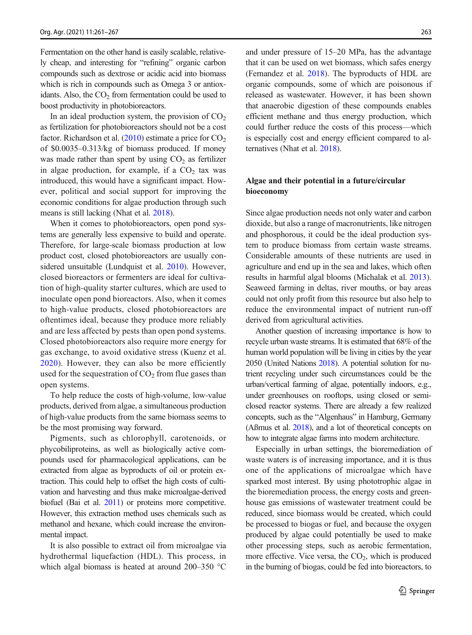Fermentation on the other hand is easily scalable, relatively cheap, and interesting for "refining" organic carbon compounds such as dextrose or acidic acid into biomass which is rich in compounds such as Omega 3 or antioxidants. Also, the  $CO<sub>2</sub>$  from fermentation could be used to boost productivity in photobioreactors.

In an ideal production system, the provision of  $CO<sub>2</sub>$ as fertilization for photobioreactors should not be a cost factor. Richardson et al.  $(2010)$  estimate a price for  $CO<sub>2</sub>$ of \$0.0035–0.313/kg of biomass produced. If money was made rather than spent by using  $CO<sub>2</sub>$  as fertilizer in algae production, for example, if a  $CO<sub>2</sub>$  tax was introduced, this would have a significant impact. However, political and social support for improving the economic conditions for algae production through such means is still lacking (Nhat et al. [2018\)](#page-6-0).

When it comes to photobioreactors, open pond systems are generally less expensive to build and operate. Therefore, for large-scale biomass production at low product cost, closed photobioreactors are usually considered unsuitable (Lundquist et al. [2010](#page-6-0)). However, closed bioreactors or fermenters are ideal for cultivation of high-quality starter cultures, which are used to inoculate open pond bioreactors. Also, when it comes to high-value products, closed photobioreactors are oftentimes ideal, because they produce more reliably and are less affected by pests than open pond systems. Closed photobioreactors also require more energy for gas exchange, to avoid oxidative stress (Kuenz et al. [2020](#page-6-0)). However, they can also be more efficiently used for the sequestration of  $CO<sub>2</sub>$  from flue gases than open systems.

To help reduce the costs of high-volume, low-value products, derived from algae, a simultaneous production of high-value products from the same biomass seems to be the most promising way forward.

Pigments, such as chlorophyll, carotenoids, or phycobiliproteins, as well as biologically active compounds used for pharmacological applications, can be extracted from algae as byproducts of oil or protein extraction. This could help to offset the high costs of cultivation and harvesting and thus make microalgae-derived biofuel (Bai et al. [2011\)](#page-6-0) or proteins more competitive. However, this extraction method uses chemicals such as methanol and hexane, which could increase the environmental impact.

It is also possible to extract oil from microalgae via hydrothermal liquefaction (HDL). This process, in which algal biomass is heated at around 200–350 °C and under pressure of 15–20 MPa, has the advantage that it can be used on wet biomass, which safes energy (Fernandez et al. [2018](#page-6-0)). The byproducts of HDL are organic compounds, some of which are poisonous if released as wastewater. However, it has been shown that anaerobic digestion of these compounds enables efficient methane and thus energy production, which could further reduce the costs of this process—which is especially cost and energy efficient compared to alternatives (Nhat et al. [2018\)](#page-6-0).

## Algae and their potential in a future/circular bioeconomy

Since algae production needs not only water and carbon dioxide, but also a range of macronutrients, like nitrogen and phosphorous, it could be the ideal production system to produce biomass from certain waste streams. Considerable amounts of these nutrients are used in agriculture and end up in the sea and lakes, which often results in harmful algal blooms (Michalak et al. [2013\)](#page-6-0). Seaweed farming in deltas, river mouths, or bay areas could not only profit from this resource but also help to reduce the environmental impact of nutrient run-off derived from agricultural activities.

Another question of increasing importance is how to recycle urban waste streams. It is estimated that 68% of the human world population will be living in cities by the year 2050 (United Nations 2018). A potential solution for nutrient recycling under such circumstances could be the urban/vertical farming of algae, potentially indoors, e.g., under greenhouses on rooftops, using closed or semiclosed reactor systems. There are already a few realized concepts, such as the "Algenhaus" in Hamburg, Germany (Aßmus et al. [2018](#page-6-0)), and a lot of theoretical concepts on how to integrate algae farms into modern architecture.

Especially in urban settings, the bioremediation of waste waters is of increasing importance, and it is thus one of the applications of microalgae which have sparked most interest. By using phototrophic algae in the bioremediation process, the energy costs and greenhouse gas emissions of wastewater treatment could be reduced, since biomass would be created, which could be processed to biogas or fuel, and because the oxygen produced by algae could potentially be used to make other processing steps, such as aerobic fermentation, more effective. Vice versa, the  $CO<sub>2</sub>$ , which is produced in the burning of biogas, could be fed into bioreactors, to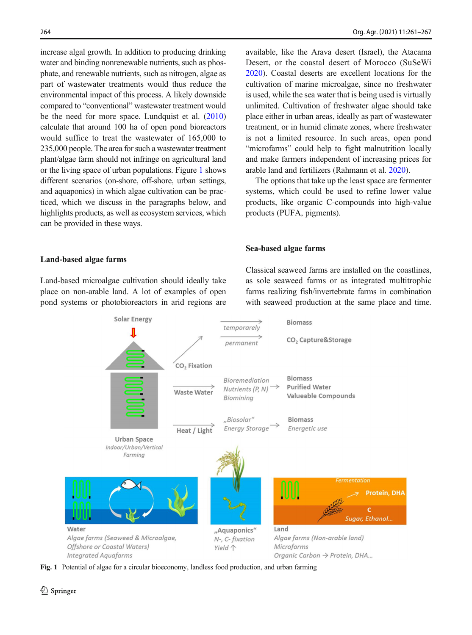increase algal growth. In addition to producing drinking water and binding nonrenewable nutrients, such as phosphate, and renewable nutrients, such as nitrogen, algae as part of wastewater treatments would thus reduce the environmental impact of this process. A likely downside compared to "conventional" wastewater treatment would be the need for more space. Lundquist et al. [\(2010\)](#page-6-0) calculate that around 100 ha of open pond bioreactors would suffice to treat the wastewater of 165,000 to 235,000 people. The area for such a wastewater treatment plant/algae farm should not infringe on agricultural land or the living space of urban populations. Figure 1 shows different scenarios (on-shore, off-shore, urban settings, and aquaponics) in which algae cultivation can be practiced, which we discuss in the paragraphs below, and highlights products, as well as ecosystem services, which can be provided in these ways.

#### Land-based algae farms

Land-based microalgae cultivation should ideally take place on non-arable land. A lot of examples of open pond systems or photobioreactors in arid regions are

available, like the Arava desert (Israel), the Atacama Desert, or the coastal desert of Morocco (SuSeWi [2020\)](#page-6-0). Coastal deserts are excellent locations for the cultivation of marine microalgae, since no freshwater is used, while the sea water that is being used is virtually unlimited. Cultivation of freshwater algae should take place either in urban areas, ideally as part of wastewater treatment, or in humid climate zones, where freshwater is not a limited resource. In such areas, open pond "microfarms" could help to fight malnutrition locally and make farmers independent of increasing prices for arable land and fertilizers (Rahmann et al. [2020](#page-6-0)).

The options that take up the least space are fermenter systems, which could be used to refine lower value products, like organic C-compounds into high-value products (PUFA, pigments).

#### Sea-based algae farms

Classical seaweed farms are installed on the coastlines, as sole seaweed farms or as integrated multitrophic farms realizing fish/invertebrate farms in combination with seaweed production at the same place and time.



Fig. 1 Potential of algae for a circular bioeconomy, landless food production, and urban farming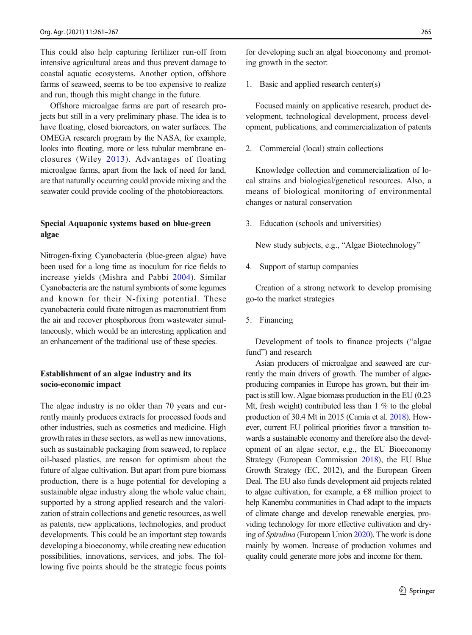This could also help capturing fertilizer run-off from intensive agricultural areas and thus prevent damage to coastal aquatic ecosystems. Another option, offshore farms of seaweed, seems to be too expensive to realize and run, though this might change in the future.

Offshore microalgae farms are part of research projects but still in a very preliminary phase. The idea is to have floating, closed bioreactors, on water surfaces. The OMEGA research program by the NASA, for example, looks into floating, more or less tubular membrane enclosures (Wiley 2013). Advantages of floating microalgae farms, apart from the lack of need for land, are that naturally occurring could provide mixing and the seawater could provide cooling of the photobioreactors.

# Special Aquaponic systems based on blue-green algae

Nitrogen-fixing Cyanobacteria (blue-green algae) have been used for a long time as inoculum for rice fields to increase yields (Mishra and Pabbi [2004](#page-6-0)). Similar Cyanobacteria are the natural symbionts of some legumes and known for their N-fixing potential. These cyanobacteria could fixate nitrogen as macronutrient from the air and recover phosphorous from wastewater simultaneously, which would be an interesting application and an enhancement of the traditional use of these species.

# Establishment of an algae industry and its socio-economic impact

The algae industry is no older than 70 years and currently mainly produces extracts for processed foods and other industries, such as cosmetics and medicine. High growth rates in these sectors, as well as new innovations, such as sustainable packaging from seaweed, to replace oil-based plastics, are reason for optimism about the future of algae cultivation. But apart from pure biomass production, there is a huge potential for developing a sustainable algae industry along the whole value chain, supported by a strong applied research and the valorization of strain collections and genetic resources, as well as patents, new applications, technologies, and product developments. This could be an important step towards developing a bioeconomy, while creating new education possibilities, innovations, services, and jobs. The following five points should be the strategic focus points for developing such an algal bioeconomy and promoting growth in the sector:

1. Basic and applied research center(s)

Focused mainly on applicative research, product development, technological development, process development, publications, and commercialization of patents

2. Commercial (local) strain collections

Knowledge collection and commercialization of local strains and biological/genetical resources. Also, a means of biological monitoring of environmental changes or natural conservation

3. Education (schools and universities)

New study subjects, e.g., "Algae Biotechnology"

4. Support of startup companies

Creation of a strong network to develop promising go-to the market strategies

5. Financing

Development of tools to finance projects ("algae fund") and research

Asian producers of microalgae and seaweed are currently the main drivers of growth. The number of algaeproducing companies in Europe has grown, but their impact is still low. Algae biomass production in the EU (0.23 Mt, fresh weight) contributed less than 1 % to the global production of 30.4 Mt in 2015 (Camia et al. [2018\)](#page-6-0). However, current EU political priorities favor a transition towards a sustainable economy and therefore also the development of an algae sector, e.g., the EU Bioeconomy Strategy (European Commission [2018\)](#page-6-0), the EU Blue Growth Strategy (EC, 2012), and the European Green Deal. The EU also funds development aid projects related to algae cultivation, for example, a  $\epsilon$ 8 million project to help Kanembu communities in Chad adapt to the impacts of climate change and develop renewable energies, providing technology for more effective cultivation and drying of Spirulina (European Union [2020](#page-6-0)). The work is done mainly by women. Increase of production volumes and quality could generate more jobs and income for them.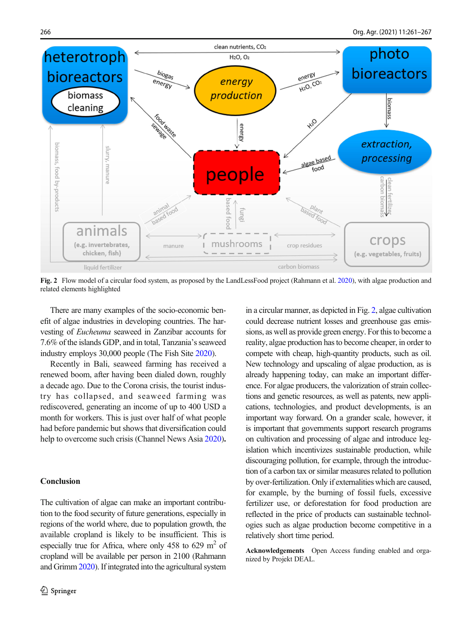

Fig. 2 Flow model of a circular food system, as proposed by the LandLessFood project (Rahmann et al. [2020](#page-6-0)), with algae production and related elements highlighted

There are many examples of the socio-economic benefit of algae industries in developing countries. The harvesting of Eucheuma seaweed in Zanzibar accounts for 7.6% of the islands GDP, and in total, Tanzania's seaweed industry employs 30,000 people (The Fish Site [2020\)](#page-6-0).

Recently in Bali, seaweed farming has received a renewed boom, after having been dialed down, roughly a decade ago. Due to the Corona crisis, the tourist industry has collapsed, and seaweed farming was rediscovered, generating an income of up to 400 USD a month for workers. This is just over half of what people had before pandemic but shows that diversification could help to overcome such crisis (Channel News Asia [2020\)](#page-6-0).

#### Conclusion

The cultivation of algae can make an important contribution to the food security of future generations, especially in regions of the world where, due to population growth, the available cropland is likely to be insufficient. This is especially true for Africa, where only 458 to 629  $m<sup>2</sup>$  of cropland will be available per person in 2100 (Rahmann and Grimm [2020\)](#page-6-0). If integrated into the agricultural system

in a circular manner, as depicted in Fig. 2, algae cultivation could decrease nutrient losses and greenhouse gas emissions, as well as provide green energy. For this to become a reality, algae production has to become cheaper, in order to compete with cheap, high-quantity products, such as oil. New technology and upscaling of algae production, as is already happening today, can make an important difference. For algae producers, the valorization of strain collections and genetic resources, as well as patents, new applications, technologies, and product developments, is an important way forward. On a grander scale, however, it is important that governments support research programs on cultivation and processing of algae and introduce legislation which incentivizes sustainable production, while discouraging pollution, for example, through the introduction of a carbon tax or similar measures related to pollution by over-fertilization. Only if externalities which are caused, for example, by the burning of fossil fuels, excessive fertilizer use, or deforestation for food production are reflected in the price of products can sustainable technologies such as algae production become competitive in a relatively short time period.

Acknowledgements Open Access funding enabled and organized by Projekt DEAL.